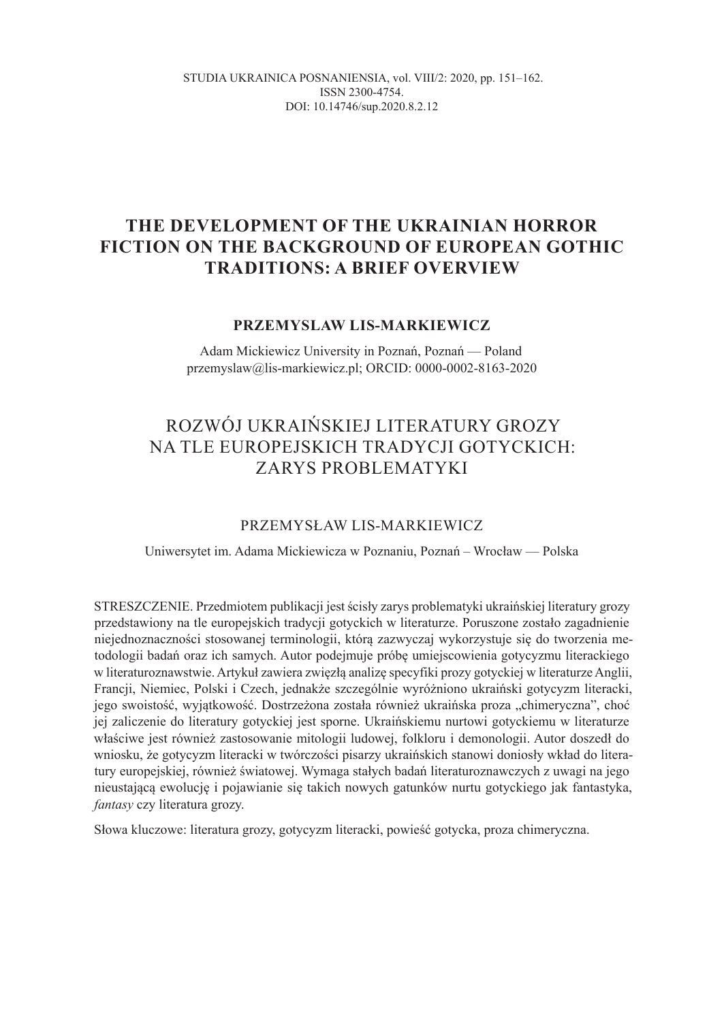STUDIA UKRAINICA POSNANIENSIA, vol. VIIІ/2: 2020, pp. 151–162. ISSN 2300-4754. DOI: 10.14746/sup.2020.8.2.12

### **THE DEVELOPMENT OF THE UKRAINIAN HORROR FICTION ON THE BACKGROUND OF EUROPEAN GOTHIC TRADITIONS: A BRIEF OVERVIEW**

### **PRZEMYSLAW LIS-MARKIEWICZ**

Adam Mickiewicz University in Poznań, Poznań — Poland przemyslaw@lis-markiewicz.pl; ORCID: 0000-0002-8163-2020

# ROZWÓJ UKRAIŃSKIEJ LITERATURY GROZY NA TLE EUROPEJSKICH TRADYCJI GOTYCKICH: ZARYS PROBLEMATYKI

### PRZEMYSŁAW LIS-MARKIEWICZ

Uniwersytet im. Adama Mickiewicza w Poznaniu, Poznań – Wrocław — Polska

STRESZCZENIE. Przedmiotem publikacji jest ścisły zarys problematyki ukraińskiej literatury grozy przedstawiony na tle europejskich tradycji gotyckich w literaturze. Poruszone zostało zagadnienie niejednoznaczności stosowanej terminologii, którą zazwyczaj wykorzystuje się do tworzenia metodologii badań oraz ich samych. Autor podejmuje próbę umiejscowienia gotycyzmu literackiego w literaturoznawstwie. Artykuł zawiera zwięzłą analizę specyfiki prozy gotyckiej w literaturze Anglii, Francji, Niemiec, Polski i Czech, jednakże szczególnie wyróżniono ukraiński gotycyzm literacki, jego swoistość, wyjątkowość. Dostrzeżona została również ukraińska proza "chimeryczna", choć jej zaliczenie do literatury gotyckiej jest sporne. Ukraińskiemu nurtowi gotyckiemu w literaturze właściwe jest również zastosowanie mitologii ludowej, folkloru i demonologii. Autor doszedł do wniosku, że gotycyzm literacki w twórczości pisarzy ukraińskich stanowi doniosły wkład do literatury europejskiej, również światowej. Wymaga stałych badań literaturoznawczych z uwagi na jego nieustającą ewolucję i pojawianie się takich nowych gatunków nurtu gotyckiego jak fantastyka, *fantasy* czy literatura grozy.

Słowa kluczowe: literatura grozy, gotycyzm literacki, powieść gotycka, proza chimeryczna.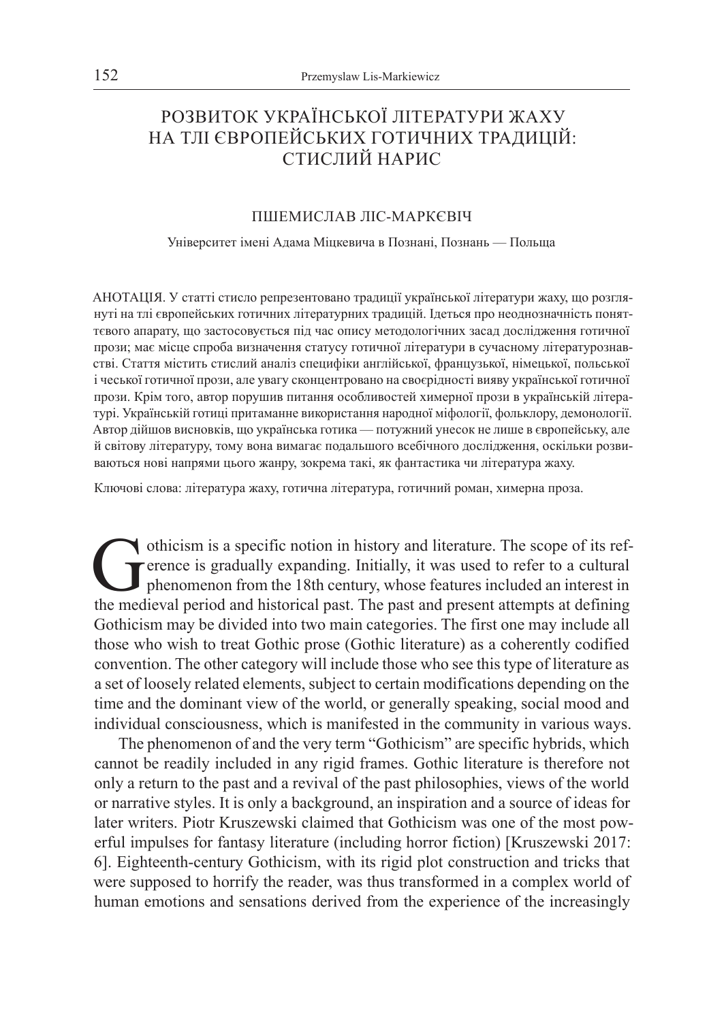## PОЗВИТОК УКРАЇНСЬКОЇ ЛІТЕРАТУРИ ЖАХУ НА ТЛІ ЄВРОПЕЙСЬКИХ ГОТИЧНИХ ТРАДИЦІЙ: СТИСЛИЙ НАРИС

### ПШЕМИСЛАВ ЛІС-МАРКЄВІЧ

Університет імені Адама Міцкевича в Познані, Познань — Польща

AНОТАЦІЯ. У статті стисло репрезентовано традиції української літератури жаху, що розглянуті на тлі європейських готичних літературних традицій. Ідеться про неоднозначність поняттєвого апарату, що застосовується під час опису методологічних засад дослідження готичної прози; має місце спроба визначення статусу готичної літератури в сучасному літературознавстві. Стаття містить стислий аналіз специфіки англійської, французької, німецької, польської і чеської готичної прози, але увагу сконцентровано на своєрідності вияву української готичної прози. Крім того, автор порушив питання особливостей химерної прози в українській літературі. Українській готиці притаманне використання народної міфології, фольклору, демонології. Автор дійшов висновків, що українська готика — потужний унесок не лише в європейську, але й світову літературу, тому вона вимагає подальшого всебічного дослідження, оскільки розвиваються нові напрями цього жанру, зокрема такі, як фантастика чи література жаху.

Ключові слова: література жаху, готична література, готичний роман, химерна проза.

othicism is a specific notion in history and literature. The scope of its ref-<br>erence is gradually expanding. Initially, it was used to refer to a cultural<br>phenomenon from the 18th century, whose features included an inter erence is gradually expanding. Initially, it was used to refer to a cultural phenomenon from the 18th century, whose features included an interest in the medieval period and historical past. The past and present attempts at defining Gothicism may be divided into two main categories. The first one may include all those who wish to treat Gothic prose (Gothic literature) as a coherently codified convention. The other category will include those who see this type of literature as a set of loosely related elements, subject to certain modifications depending on the time and the dominant view of the world, or generally speaking, social mood and individual consciousness, which is manifested in the community in various ways.

The phenomenon of and the very term "Gothicism" are specific hybrids, which cannot be readily included in any rigid frames. Gothic literature is therefore not only a return to the past and a revival of the past philosophies, views of the world or narrative styles. It is only a background, an inspiration and a source of ideas for later writers. Piotr Kruszewski claimed that Gothicism was one of the most powerful impulses for fantasy literature (including horror fiction) [Kruszewski 2017: 6]. Eighteenth-century Gothicism, with its rigid plot construction and tricks that were supposed to horrify the reader, was thus transformed in a complex world of human emotions and sensations derived from the experience of the increasingly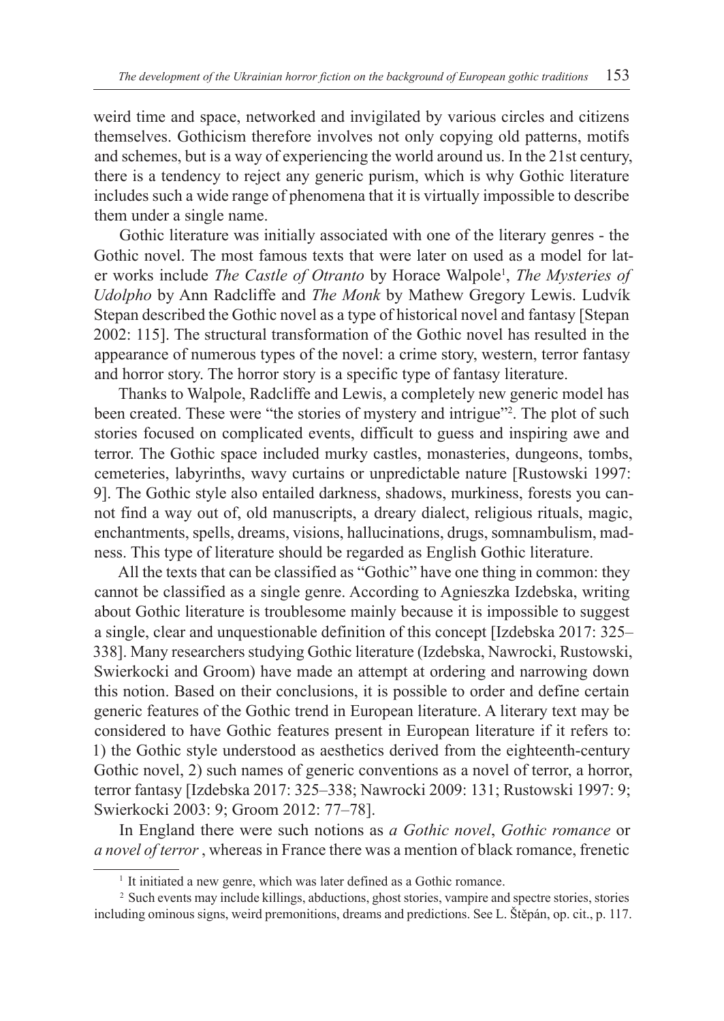weird time and space, networked and invigilated by various circles and citizens themselves. Gothicism therefore involves not only copying old patterns, motifs and schemes, but is a way of experiencing the world around us. In the 21st century, there is a tendency to reject any generic purism, which is why Gothic literature includes such a wide range of phenomena that it is virtually impossible to describe them under a single name.

Gothic literature was initially associated with one of the literary genres - the Gothic novel. The most famous texts that were later on used as a model for later works include *The Castle of Otranto* by Horace Walpole<sup>1</sup>, *The Mysteries of Udolpho* by Ann Radcliffe and *The Monk* by Mathew Gregory Lewis. Ludvík Stepan described the Gothic novel as a type of historical novel and fantasy [Stepan 2002: 115]. The structural transformation of the Gothic novel has resulted in the appearance of numerous types of the novel: a crime story, western, terror fantasy and horror story. The horror story is a specific type of fantasy literature.

Thanks to Walpole, Radcliffe and Lewis, a completely new generic model has been created. These were "the stories of mystery and intrigue"<sup>2</sup>. The plot of such stories focused on complicated events, difficult to guess and inspiring awe and terror. The Gothic space included murky castles, monasteries, dungeons, tombs, cemeteries, labyrinths, wavy curtains or unpredictable nature [Rustowski 1997: 9]. The Gothic style also entailed darkness, shadows, murkiness, forests you cannot find a way out of, old manuscripts, a dreary dialect, religious rituals, magic, enchantments, spells, dreams, visions, hallucinations, drugs, somnambulism, madness. This type of literature should be regarded as English Gothic literature.

All the texts that can be classified as "Gothic" have one thing in common: they cannot be classified as a single genre. According to Agnieszka Izdebska, writing about Gothic literature is troublesome mainly because it is impossible to suggest a single, clear and unquestionable definition of this concept [Izdebska 2017: 325– 338]. Many researchers studying Gothic literature (Izdebska, Nawrocki, Rustowski, Swierkocki and Groom) have made an attempt at ordering and narrowing down this notion. Based on their conclusions, it is possible to order and define certain generic features of the Gothic trend in European literature. A literary text may be considered to have Gothic features present in European literature if it refers to: 1) the Gothic style understood as aesthetics derived from the eighteenth-century Gothic novel, 2) such names of generic conventions as a novel of terror, a horror, terror fantasy [Izdebska 2017: 325–338; Nawrocki 2009: 131; Rustowski 1997: 9; Swierkocki 2003: 9; Groom 2012: 77–78].

In England there were such notions as *a Gothic novel*, *Gothic romance* or *a novel of terror* , whereas in France there was a mention of black romance, frenetic

<sup>&</sup>lt;sup>1</sup> It initiated a new genre, which was later defined as a Gothic romance.

<sup>&</sup>lt;sup>2</sup> Such events may include killings, abductions, ghost stories, vampire and spectre stories, stories including ominous signs, weird premonitions, dreams and predictions. See L. Štěpán, op. cit., p. 117.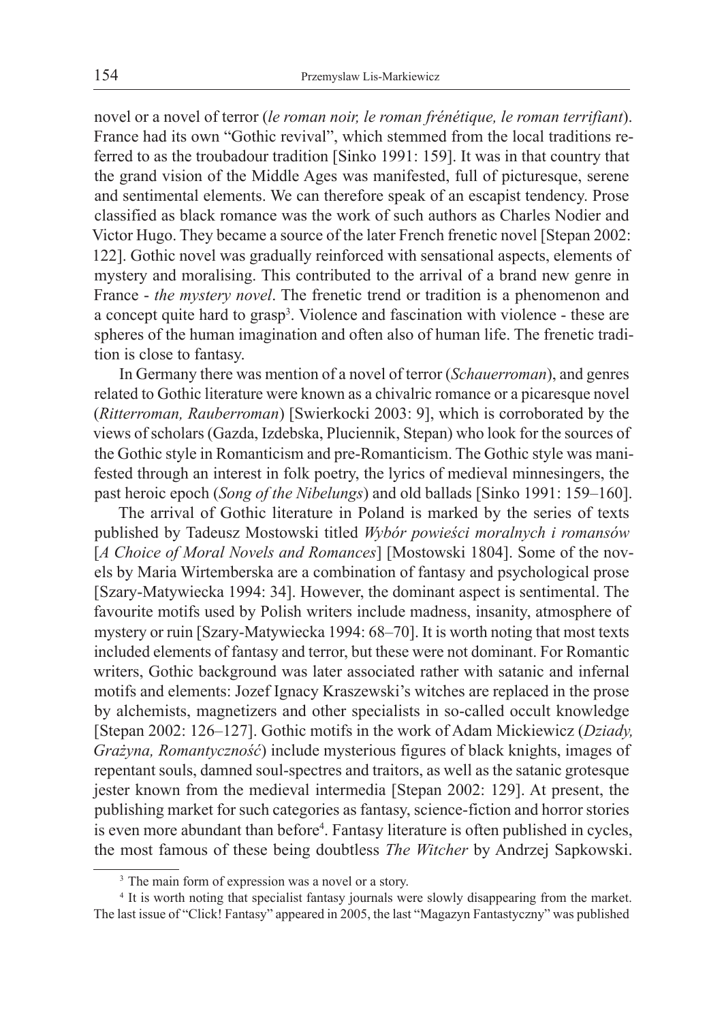novel or a novel of terror (*le roman noir, le roman frénétique, le roman terrifiant*). France had its own "Gothic revival", which stemmed from the local traditions referred to as the troubadour tradition [Sinko 1991: 159]. It was in that country that the grand vision of the Middle Ages was manifested, full of picturesque, serene and sentimental elements. We can therefore speak of an escapist tendency. Prose classified as black romance was the work of such authors as Charles Nodier and Victor Hugo. They became a source of the later French frenetic novel [Stepan 2002: 122]. Gothic novel was gradually reinforced with sensational aspects, elements of mystery and moralising. This contributed to the arrival of a brand new genre in France - *the mystery novel*. The frenetic trend or tradition is a phenomenon and a concept quite hard to grasp<sup>3</sup>. Violence and fascination with violence - these are spheres of the human imagination and often also of human life. The frenetic tradition is close to fantasy.

In Germany there was mention of a novel of terror (*Schauerroman*), and genres related to Gothic literature were known as a chivalric romance or a picaresque novel (*Ritterroman, Rauberroman*) [Swierkocki 2003: 9], which is corroborated by the views of scholars (Gazda, Izdebska, Pluciennik, Stepan) who look for the sources of the Gothic style in Romanticism and pre-Romanticism. The Gothic style was manifested through an interest in folk poetry, the lyrics of medieval minnesingers, the past heroic epoch (*Song of the Nibelungs*) and old ballads [Sinko 1991: 159–160].

The arrival of Gothic literature in Poland is marked by the series of texts published by Tadeusz Mostowski titled *Wybór powieści moralnych i romansów* [*A Choice of Moral Novels and Romances*] [Mostowski 1804]. Some of the novels by Maria Wirtemberska are a combination of fantasy and psychological prose [Szary-Matywiecka 1994: 34]. However, the dominant aspect is sentimental. The favourite motifs used by Polish writers include madness, insanity, atmosphere of mystery or ruin [Szary-Matywiecka 1994: 68–70]. It is worth noting that most texts included elements of fantasy and terror, but these were not dominant. For Romantic writers, Gothic background was later associated rather with satanic and infernal motifs and elements: Jozef Ignacy Kraszewski's witches are replaced in the prose by alchemists, magnetizers and other specialists in so-called occult knowledge [Stepan 2002: 126–127]. Gothic motifs in the work of Adam Mickiewicz (*Dziady, Grażyna, Romantyczność*) include mysterious figures of black knights, images of repentant souls, damned soul-spectres and traitors, as well as the satanic grotesque jester known from the medieval intermedia [Stepan 2002: 129]. At present, the publishing market for such categories as fantasy, science-fiction and horror stories is even more abundant than before<sup>4</sup>. Fantasy literature is often published in cycles, the most famous of these being doubtless *The Witcher* by Andrzej Sapkowski.

<sup>&</sup>lt;sup>3</sup> The main form of expression was a novel or a story.

<sup>&</sup>lt;sup>4</sup> It is worth noting that specialist fantasy journals were slowly disappearing from the market. The last issue of "Click! Fantasy" appeared in 2005, the last "Magazyn Fantastyczny" was published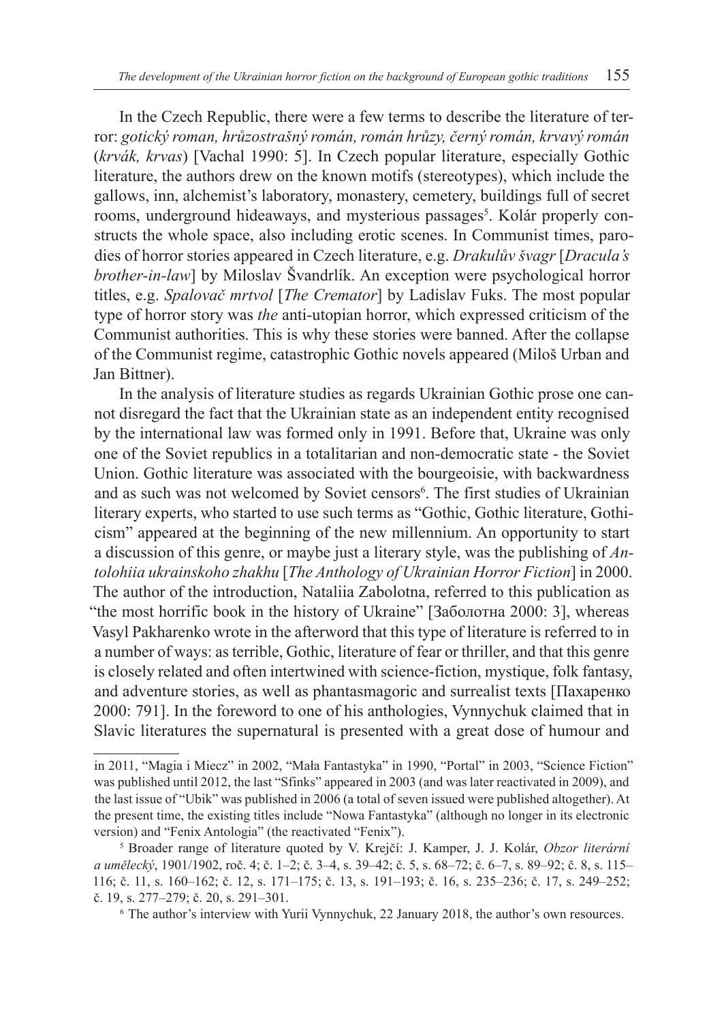In the Czech Republic, there were a few terms to describe the literature of terror: *gotický roman, hrůzostrašný román, román hrůzy, černý román, krvavý román*  (*krvák, krvas*) [Vachal 1990: 5]. In Czech popular literature, especially Gothic literature, the authors drew on the known motifs (stereotypes), which include the gallows, inn, alchemist's laboratory, monastery, cemetery, buildings full of secret rooms, underground hideaways, and mysterious passages<sup>5</sup>. Kolár properly constructs the whole space, also including erotic scenes. In Communist times, parodies of horror stories appeared in Czech literature, e.g. *Drakulův švagr* [*Dracula's brother-in-law*] by Miloslav Švandrlík. An exception were psychological horror titles, e.g. *Spalovač mrtvol* [*The Cremator*] by Ladislav Fuks. The most popular type of horror story was *the* anti-utopian horror, which expressed criticism of the Communist authorities. This is why these stories were banned. After the collapse of the Communist regime, catastrophic Gothic novels appeared (Miloš Urban and Jan Bittner).

In the analysis of literature studies as regards Ukrainian Gothic prose one cannot disregard the fact that the Ukrainian state as an independent entity recognised by the international law was formed only in 1991. Before that, Ukraine was only one of the Soviet republics in a totalitarian and non-democratic state - the Soviet Union. Gothic literature was associated with the bourgeoisie, with backwardness and as such was not welcomed by Soviet censors<sup>6</sup>. The first studies of Ukrainian literary experts, who started to use such terms as "Gothic, Gothic literature, Gothicism" appeared at the beginning of the new millennium. An opportunity to start a discussion of this genre, or maybe just a literary style, was the publishing of *Antolohiia ukrainskoho zhakhu* [*The Anthology of Ukrainian Horror Fiction*] in 2000. The author of the introduction, Nataliia Zabolotna, referred to this publication as "the most horrific book in the history of Ukraine" [Заболотна 2000: 3], whereas Vasyl Pakharenko wrote in the afterword that this type of literature is referred to in a number of ways: as terrible, Gothic, literature of fear or thriller, and that this genre is closely related and often intertwined with science-fiction, mystique, folk fantasy, and adventure stories, as well as phantasmagoric and surrealist texts [Пахаренко 2000: 791]. In the foreword to one of his anthologies, Vynnychuk claimed that in Slavic literatures the supernatural is presented with a great dose of humour and

<sup>6</sup> The author's interview with Yurii Vynnychuk, 22 January 2018, the author's own resources.

in 2011, "Magia i Miecz" in 2002, "Mała Fantastyka" in 1990, "Portal" in 2003, "Science Fiction" was published until 2012, the last "Sfinks" appeared in 2003 (and was later reactivated in 2009), and the last issue of "Ubik" was published in 2006 (a total of seven issued were published altogether). At the present time, the existing titles include "Nowa Fantastyka" (although no longer in its electronic version) and "Fenix Antologia" (the reactivated "Fenix").

<sup>5</sup> Broader range of literature quoted by V. Krejčí: J. Kamper, J. J. Kolár, *Obzor literární a umělecký*, 1901/1902, roč. 4; č. 1–2; č. 3–4, s. 39–42; č. 5, s. 68–72; č. 6–7, s. 89–92; č. 8, s. 115– 116; č. 11, s. 160–162; č. 12, s. 171–175; č. 13, s. 191–193; č. 16, s. 235–236; č. 17, s. 249–252; č. 19, s. 277–279; č. 20, s. 291–301.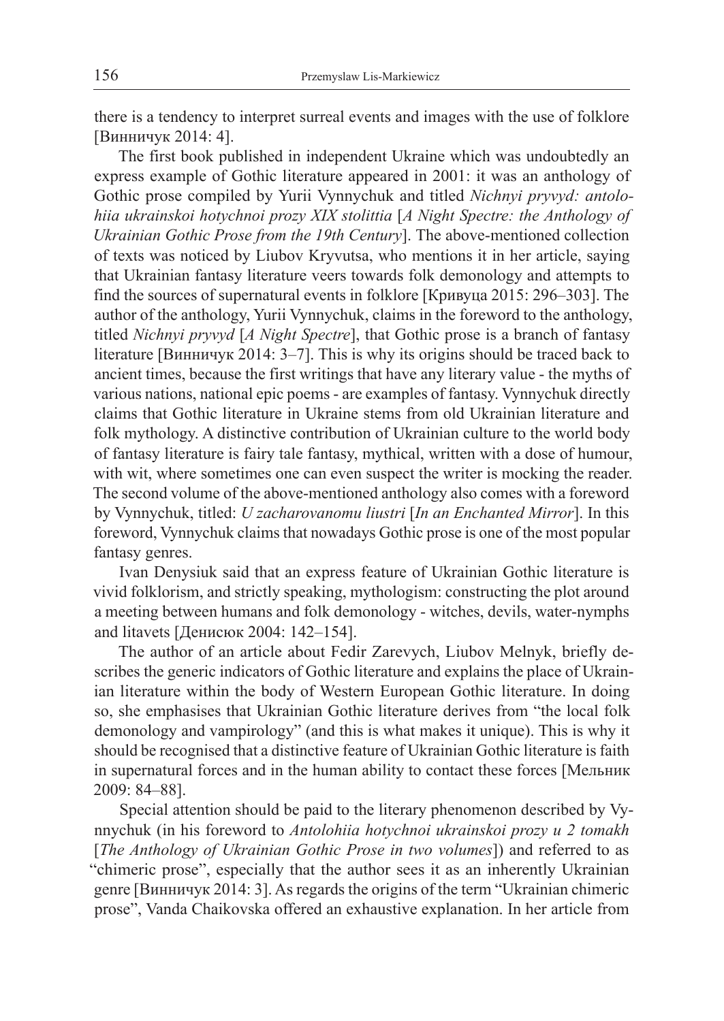there is a tendency to interpret surreal events and images with the use of folklore [Винничук 2014: 4].

The first book published in independent Ukraine which was undoubtedly an express example of Gothic literature appeared in 2001: it was an anthology of Gothic prose compiled by Yurii Vynnychuk and titled *Nichnyi pryvyd: antolohiia ukrainskoi hotychnoi prozy XIX stolittia* [*A Night Spectre: the Anthology of Ukrainian Gothic Prose from the 19th Century*]. The above-mentioned collection of texts was noticed by Liubov Kryvutsa, who mentions it in her article, saying that Ukrainian fantasy literature veers towards folk demonology and attempts to find the sources of supernatural events in folklore [Кривуца 2015: 296–303]. The author of the anthology, Yurii Vynnychuk, claims in the foreword to the anthology, titled *Nichnyi pryvyd* [*A Night Spectre*], that Gothic prose is a branch of fantasy literature [Винничук 2014: 3–7]. This is why its origins should be traced back to ancient times, because the first writings that have any literary value - the myths of various nations, national epic poems - are examples of fantasy. Vynnychuk directly claims that Gothic literature in Ukraine stems from old Ukrainian literature and folk mythology. A distinctive contribution of Ukrainian culture to the world body of fantasy literature is fairy tale fantasy, mythical, written with a dose of humour, with wit, where sometimes one can even suspect the writer is mocking the reader. The second volume of the above-mentioned anthology also comes with a foreword by Vynnychuk, titled: *U zacharovanomu liustri* [*In an Enchanted Mirror*]. In this foreword, Vynnychuk claims that nowadays Gothic prose is one of the most popular fantasy genres.

Ivan Denysiuk said that an express feature of Ukrainian Gothic literature is vivid folklorism, and strictly speaking, mythologism: constructing the plot around a meeting between humans and folk demonology - witches, devils, water-nymphs and litavets [Денисюк 2004: 142–154].

The author of an article about Fedir Zarevych, Liubov Melnyk, briefly describes the generic indicators of Gothic literature and explains the place of Ukrainian literature within the body of Western European Gothic literature. In doing so, she emphasises that Ukrainian Gothic literature derives from "the local folk demonology and vampirology" (and this is what makes it unique). This is why it should be recognised that a distinctive feature of Ukrainian Gothic literature is faith in supernatural forces and in the human ability to contact these forces [Мельник 2009: 84–88].

Special attention should be paid to the literary phenomenon described by Vynnychuk (in his foreword to *Antolohiia hotychnoi ukrainskoi prozy u 2 tomakh* [*The Anthology of Ukrainian Gothic Prose in two volumes*]) and referred to as "chimeric prose", especially that the author sees it as an inherently Ukrainian genre [Винничук 2014: 3]. As regards the origins of the term "Ukrainian chimeric prose", Vanda Chaikovska offered an exhaustive explanation. In her article from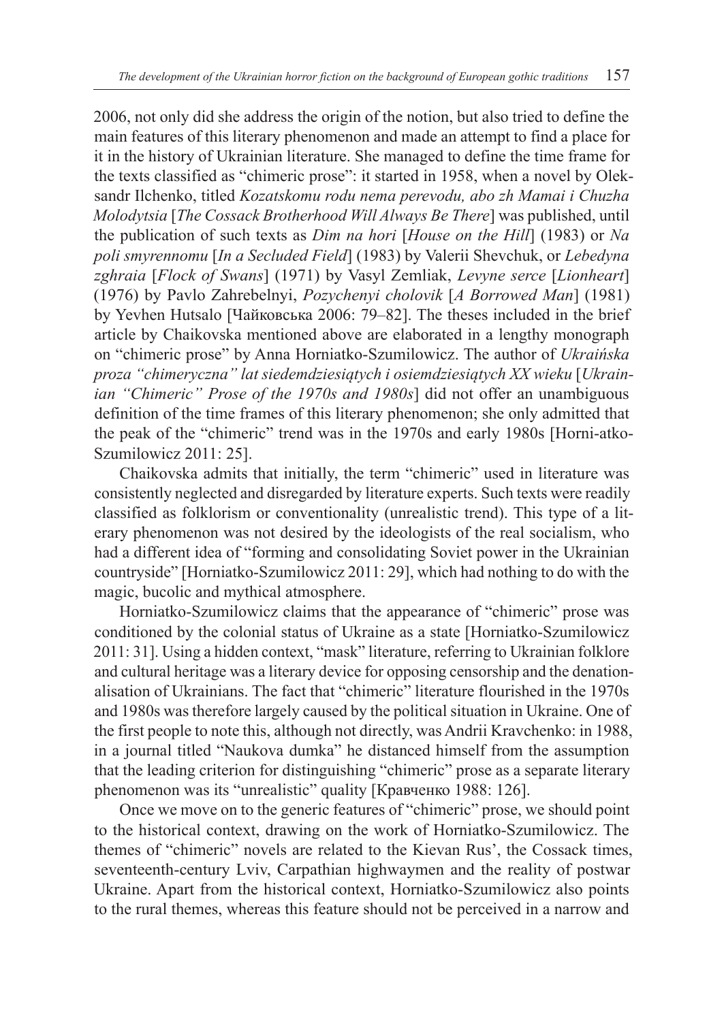2006, not only did she address the origin of the notion, but also tried to define the main features of this literary phenomenon and made an attempt to find a place for it in the history of Ukrainian literature. She managed to define the time frame for the texts classified as "chimeric prose": it started in 1958, when a novel by Oleksandr Ilchenko, titled *Kozatskomu rodu nema perevodu, abo zh Mamai i Chuzha Molodytsia* [*The Cossack Brotherhood Will Always Be There*] was published, until the publication of such texts as *Dim na hori* [*House on the Hill*] (1983) or *Na poli smyrennomu* [*In a Secluded Field*] (1983) by Valerii Shevchuk, or *Lebedyna zghraia* [*Flock of Swans*] (1971) by Vasyl Zemliak, *Levyne serce* [*Lionheart*] (1976) by Pavlo Zahrebelnyi, *Pozychenyi cholovik* [*A Borrowed Man*] (1981) by Yevhen Hutsalo [Чайковська 2006: 79–82]. The theses included in the brief article by Chaikovska mentioned above are elaborated in a lengthy monograph on "chimeric prose" by Anna Horniatko-Szumilowicz. The author of *Ukraińska proza "chimeryczna" lat siedemdziesiątych i osiemdziesiątych XX wieku* [*Ukrainian "Chimeric" Prose of the 1970s and 1980s*] did not offer an unambiguous definition of the time frames of this literary phenomenon; she only admitted that the peak of the "chimeric" trend was in the 1970s and early 1980s [Horni-atko-Szumilowicz 2011: 25].

Chaikovska admits that initially, the term "chimeric" used in literature was consistently neglected and disregarded by literature experts. Such texts were readily classified as folklorism or conventionality (unrealistic trend). This type of a literary phenomenon was not desired by the ideologists of the real socialism, who had a different idea of "forming and consolidating Soviet power in the Ukrainian countryside" [Horniatko-Szumilowicz 2011: 29], which had nothing to do with the magic, bucolic and mythical atmosphere.

Horniatko-Szumilowicz claims that the appearance of "chimeric" prose was conditioned by the colonial status of Ukraine as a state [Horniatko-Szumilowicz 2011: 31]. Using a hidden context, "mask" literature, referring to Ukrainian folklore and cultural heritage was a literary device for opposing censorship and the denationalisation of Ukrainians. The fact that "chimeric" literature flourished in the 1970s and 1980s was therefore largely caused by the political situation in Ukraine. One of the first people to note this, although not directly, was Andrii Kravchenko: in 1988, in a journal titled "Naukova dumka" he distanced himself from the assumption that the leading criterion for distinguishing "chimeric" prose as a separate literary phenomenon was its "unrealistic" quality [Кравченко 1988: 126].

Once we move on to the generic features of "chimeric" prose, we should point to the historical context, drawing on the work of Horniatko-Szumilowicz. The themes of "chimeric" novels are related to the Kievan Rus', the Cossack times, seventeenth-century Lviv, Carpathian highwaymen and the reality of postwar Ukraine. Apart from the historical context, Horniatko-Szumilowicz also points to the rural themes, whereas this feature should not be perceived in a narrow and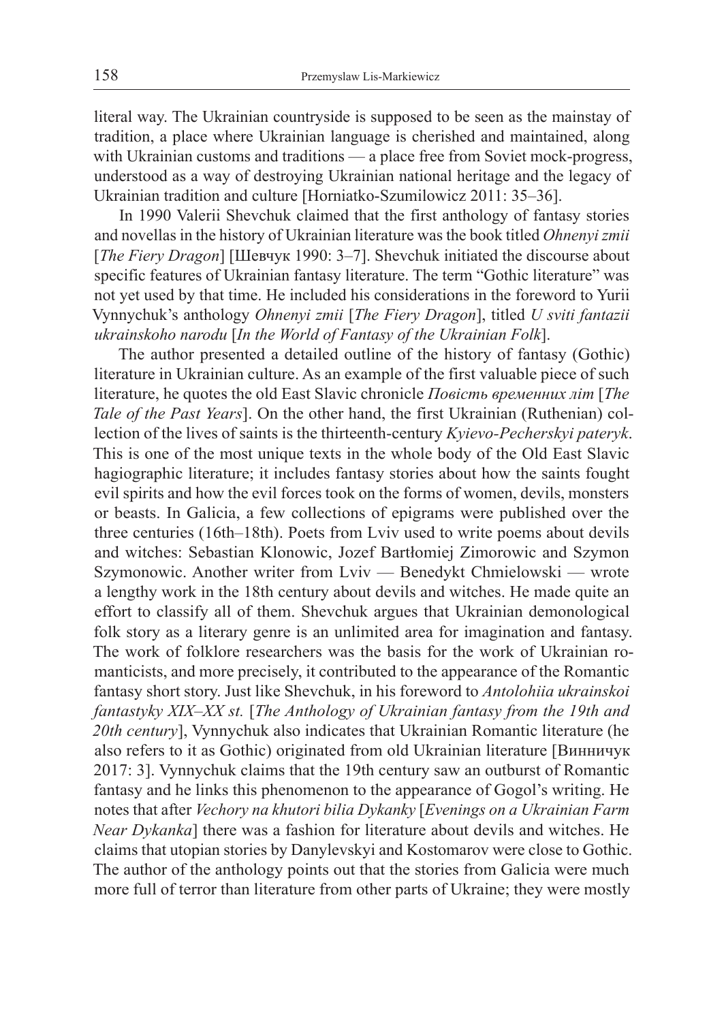literal way. The Ukrainian countryside is supposed to be seen as the mainstay of tradition, a place where Ukrainian language is cherished and maintained, along with Ukrainian customs and traditions — a place free from Soviet mock-progress, understood as a way of destroying Ukrainian national heritage and the legacy of Ukrainian tradition and culture [Horniatko-Szumilowicz 2011: 35–36].

In 1990 Valerii Shevchuk claimed that the first anthology of fantasy stories and novellas in the history of Ukrainian literature was the book titled *Ohnenyi zmii* [*The Fiery Dragon*] [Шевчук 1990: 3–7]. Shevchuk initiated the discourse about specific features of Ukrainian fantasy literature. The term "Gothic literature" was not yet used by that time. He included his considerations in the foreword to Yurii Vynnychuk's anthology *Ohnenyi zmii* [*The Fiery Dragon*], titled *U sviti fantazii ukrainskoho narodu* [*In the World of Fantasy of the Ukrainian Folk*].

The author presented a detailed outline of the history of fantasy (Gothic) literature in Ukrainian culture. As an example of the first valuable piece of such literature, he quotes the old East Slavic chronicle *Повість временних літ* [*The Tale of the Past Years*]. On the other hand, the first Ukrainian (Ruthenian) collection of the lives of saints is the thirteenth-century *Kyievo-Pecherskyi pateryk*. This is one of the most unique texts in the whole body of the Old East Slavic hagiographic literature; it includes fantasy stories about how the saints fought evil spirits and how the evil forces took on the forms of women, devils, monsters or beasts. In Galicia, a few collections of epigrams were published over the three centuries (16th–18th). Poets from Lviv used to write poems about devils and witches: Sebastian Klonowic, Jozef Bartłomiej Zimorowic and Szymon Szymonowic. Another writer from Lviv — Benedykt Chmielowski — wrote a lengthy work in the 18th century about devils and witches. He made quite an effort to classify all of them. Shevchuk argues that Ukrainian demonological folk story as a literary genre is an unlimited area for imagination and fantasy. The work of folklore researchers was the basis for the work of Ukrainian romanticists, and more precisely, it contributed to the appearance of the Romantic fantasy short story. Just like Shevchuk, in his foreword to *Antolohiia ukrainskoi fantastyky XIX–XX st.* [*The Anthology of Ukrainian fantasy from the 19th and 20th century*], Vynnychuk also indicates that Ukrainian Romantic literature (he also refers to it as Gothic) originated from old Ukrainian literature [Винничук 2017: 3]. Vynnychuk claims that the 19th century saw an outburst of Romantic fantasy and he links this phenomenon to the appearance of Gogol's writing. He notes that after *Vechory na khutori bilia Dykanky* [*Evenings on a Ukrainian Farm Near Dykanka*] there was a fashion for literature about devils and witches. He claims that utopian stories by Danylevskyi and Kostomarov were close to Gothic. The author of the anthology points out that the stories from Galicia were much more full of terror than literature from other parts of Ukraine; they were mostly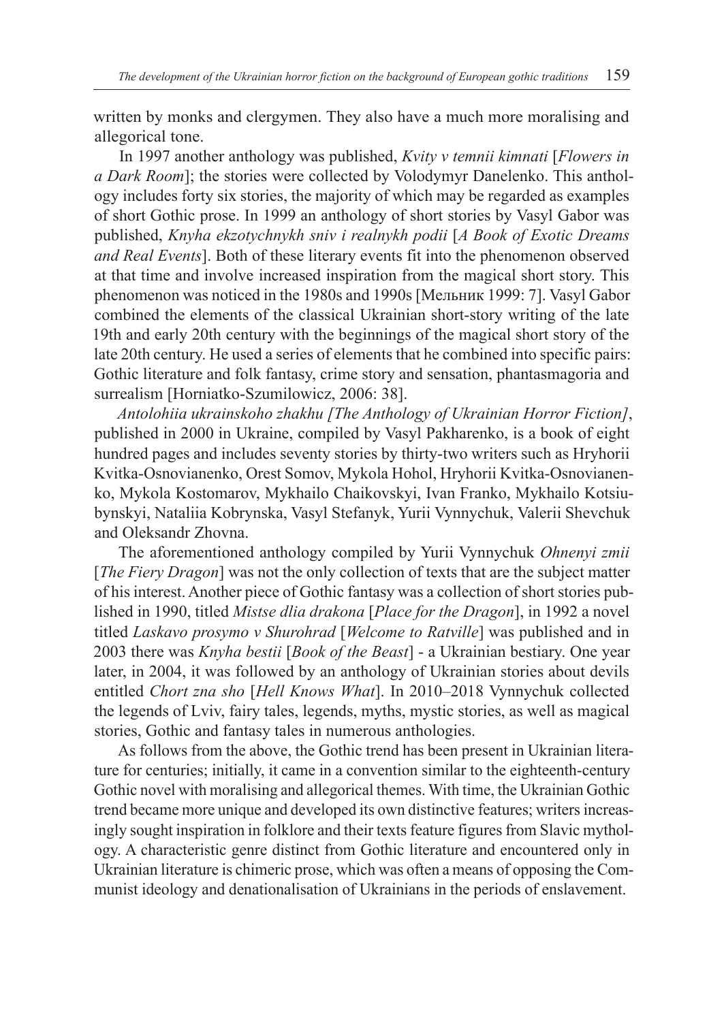written by monks and clergymen. They also have a much more moralising and allegorical tone.

In 1997 another anthology was published, *Kvity v temnii kimnati* [*Flowers in a Dark Room*]; the stories were collected by Volodymyr Danelenko. This anthology includes forty six stories, the majority of which may be regarded as examples of short Gothic prose. In 1999 an anthology of short stories by Vasyl Gabor was published, *Knyha ekzotychnykh sniv i realnykh podii* [*A Book of Exotic Dreams and Real Events*]. Both of these literary events fit into the phenomenon observed at that time and involve increased inspiration from the magical short story. This phenomenon was noticed in the 1980s and 1990s [Мельник 1999: 7]. Vasyl Gabor combined the elements of the classical Ukrainian short-story writing of the late 19th and early 20th century with the beginnings of the magical short story of the late 20th century. He used a series of elements that he combined into specific pairs: Gothic literature and folk fantasy, crime story and sensation, phantasmagoria and surrealism [Horniatko-Szumilowicz, 2006: 38].

*Antolohiia ukrainskoho zhakhu [The Anthology of Ukrainian Horror Fiction]*, published in 2000 in Ukraine, compiled by Vasyl Pakharenko, is a book of eight hundred pages and includes seventy stories by thirty-two writers such as Hryhorii Kvitka-Osnovianenko, Orest Somov, Mykola Hohol, Hryhorii Kvitka-Osnovianenko, Mykola Kostomarov, Mykhailo Chaikovskyi, Ivan Franko, Mykhailo Kotsiubynskyi, Nataliia Kobrynska, Vasyl Stefanyk, Yurii Vynnychuk, Valerii Shevchuk and Oleksandr Zhovna.

The aforementioned anthology compiled by Yurii Vynnychuk *Ohnenyi zmii* [*The Fiery Dragon*] was not the only collection of texts that are the subject matter of his interest. Another piece of Gothic fantasy was a collection of short stories published in 1990, titled *Mistse dlia drakona* [*Place for the Dragon*], in 1992 a novel titled *Laskavo prosymo v Shurohrad* [*Welcome to Ratville*] was published and in 2003 there was *Knyha bestii* [*Book of the Beast*] - a Ukrainian bestiary. One year later, in 2004, it was followed by an anthology of Ukrainian stories about devils entitled *Chort zna sho* [*Hell Knows What*]. In 2010–2018 Vynnychuk collected the legends of Lviv, fairy tales, legends, myths, mystic stories, as well as magical stories, Gothic and fantasy tales in numerous anthologies.

As follows from the above, the Gothic trend has been present in Ukrainian literature for centuries; initially, it came in a convention similar to the eighteenth-century Gothic novel with moralising and allegorical themes. With time, the Ukrainian Gothic trend became more unique and developed its own distinctive features; writers increasingly sought inspiration in folklore and their texts feature figures from Slavic mythology. A characteristic genre distinct from Gothic literature and encountered only in Ukrainian literature is chimeric prose, which was often a means of opposing the Communist ideology and denationalisation of Ukrainians in the periods of enslavement.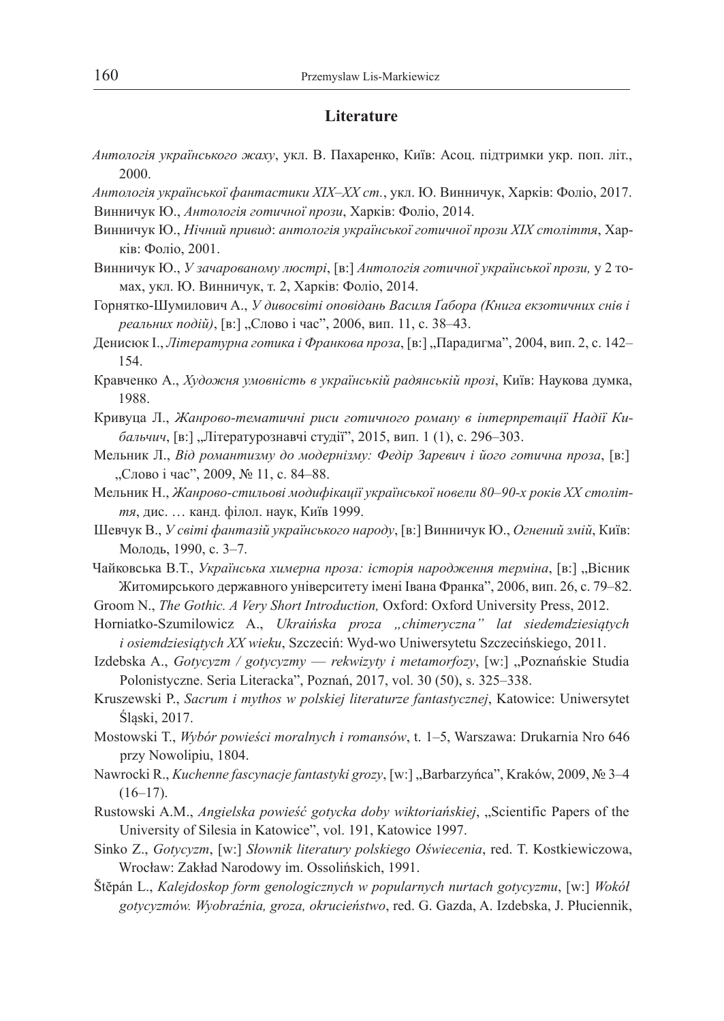#### **Literature**

- *Антологія українського жаху*, укл. В. Пахаренко, Київ: Асоц. підтримки укр. поп. літ., 2000.
- *Антологія української фантастики XIX*–*ХХ ст.*, укл. Ю. Винничук, Харків: Фоліо, 2017.

Винничук Ю., *Антологія готичної прози*, Харків: Фоліо, 2014.

- Винничук Ю., *Нічний привид*: *антологія української готичної прози ХІХ століття*, Харків: Фоліо, 2001.
- Винничук Ю., *У зачарованому люстрі*, [в:] *Антологія готичної української прози,* у 2 томах, укл. Ю. Винничук, т. 2, Харків: Фоліо, 2014.
- Горнятко-Шумилович A., *У дивосвіті оповідань Василя Ґабора (Книга екзотичних снів і* реальних подій), [в:] "Слово і час", 2006, вип. 11, с. 38-43.
- Денисюк I., *Літературна готика і Франкова проза*, [в:] "Парадигма", 2004, вип. 2, с. 142– 154.
- Кравченко А., *Художня умовність в українській радянській прозі*, Київ: Наукова думка, 1988.
- Кривуца Л., *Жанрово-тематичні риси готичного роману в інтерпретації Надії Ки*бальчич, [в:] "Літературознавчі студії", 2015, вип. 1 (1), с. 296-303.
- Мельник Л., *Від романтизму до модернізму: Федір Заревич і його готична проза*, [в:] "Слово і час", 2009, № 11, с. 84-88.
- Мельник Н., *Жанрово-стильові модифікації української новели 80*–*90-х років ХХ століття*, дис. … канд. філол. наук, Київ 1999.
- Шевчук В., *У світі фантазій українського народу*, [в:] Винничук Ю., *Oгнений змій*, Київ: Молодь, 1990, c. 3–7.
- Чайковська В.Т., Українська химерна проза: історія народження терміна, [в:] "Вісник Житомирського державного університету імені Івана Франка", 2006, вип. 26, c. 79–82.

Groom N., *The Gothic. A Very Short Introduction,* Оxford: Oxford University Press, 2012.

- Horniatko-Szumilowicz A., *Ukraińska proza "chimeryczna" lat siedemdziesiątych i osiemdziesiątych XX wieku*, Szczeciń: Wyd-wo Uniwersytetu Szczecińskiego, 2011.
- Izdebska A., *Gotycyzm / gotycyzmy rekwizyty i metamorfozy*, [w:] "Poznańskie Studia Polonistyczne. Seria Literacka", Poznań, 2017, vol. 30 (50), s. 325–338.
- Kruszewski P., *Sacrum i mythos w polskiej literaturze fantastycznej*, Katowice: Uniwersytet Śląski, 2017.
- Mostowski Т., *Wybór powieści moralnych i romansów*, t. 1*–*5, Warszawa: Drukarnia Nro 646 przy Nowolipiu, 1804.
- Nawrocki R., *Kuchenne fascynacje fantastyki grozy*, [w:] "Barbarzyńca", Kraków, 2009, № 3*–*4 (16*–*17).
- Rustowski A.M., *Angielska powieść gotycka doby wiktoriańskiej*, "Scientific Papers of the University of Silesia in Katowice", vol. 191, Katowice 1997.
- Sinko Z., *Gotycyzm*, [w:] *Słownik literatury polskiego Oświecenia*, red. T. Kostkiewiczowa, Wrocław: Zakład Narodowy im. Ossolińskich, 1991.
- Štĕpán L., *Kalejdoskop form genologicznych w popularnych nurtach gotycyzmu*, [w:] *Wokół gotycyzmów. Wyobraźnia, groza, okrucieństwo*, red. G. Gazda, A. Izdebska, J. Płuciennik,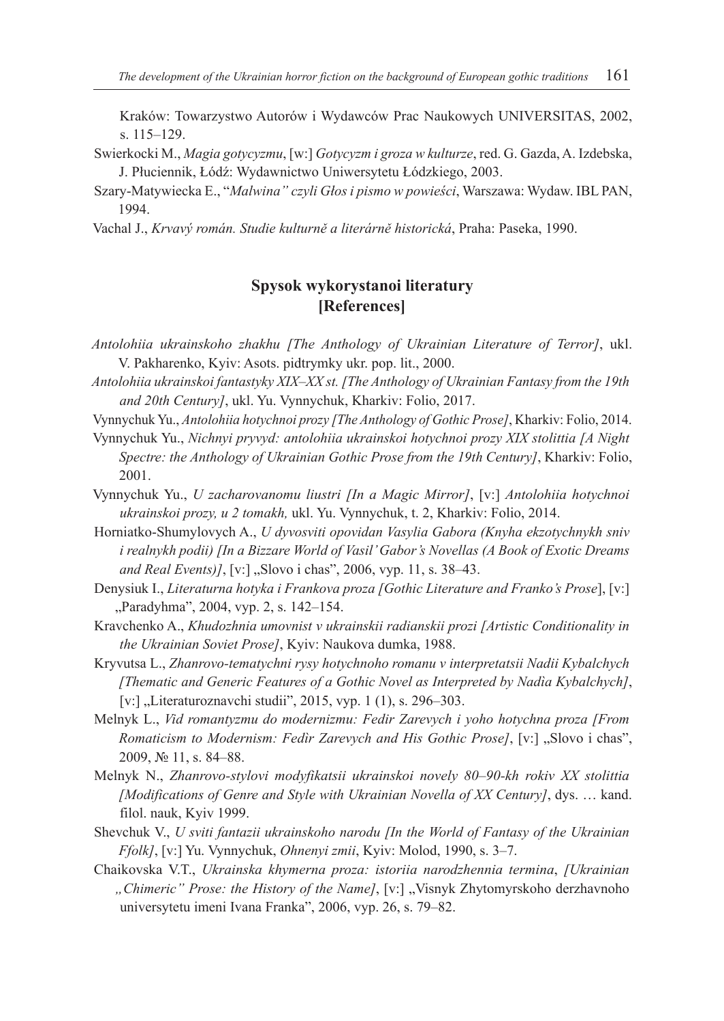Kraków: Towarzystwo Autorów i Wydawców Prac Naukowych UNIVERSITAS, 2002, s. 115*–*129.

- Swierkocki M., *Magia gotycyzmu*, [w:] *Gotycyzm i groza w kulturze*, red. G. Gazda, A. Izdebska, J. Płuciennik, Łódź: Wydawnictwo Uniwersytetu Łódzkiego, 2003.
- Szary-Matywiecka E., "*Malwina" czyli Głos i pismo w powieści*, Warszawa: Wydaw. IBL PAN, 1994.
- Vachal J., *Krvavý román. Studie kulturně a literárně historická*, Praha: Paseka, 1990.

### **Spysok wykorystanoi literatury [References]**

- *Antolohiia ukrainskoho zhakhu [The Anthology of Ukrainian Literature of Terror]*, ukl. V. Pakharenko, Kyiv: Asots. pidtrymky ukr. pop. lit., 2000.
- *Antolohiia ukrainskoi fantastyky XIX–XX st. [The Anthology of Ukrainian Fantasy from the 19th and 20th Century]*, ukl. Yu. Vynnychuk, Kharkiv: Folio, 2017.

Vynnychuk Yu., *Antolohiia hotychnoi prozy [The Anthology of Gothic Prose]*, Kharkiv: Folio, 2014.

- Vynnychuk Yu., *Nichnyi pryvyd: antolohiia ukrainskoi hotychnoi prozy XIX stolittia [A Night Spectre: the Anthology of Ukrainian Gothic Prose from the 19th Century]*, Kharkiv: Folio, 2001.
- Vynnychuk Yu., *U zacharovanomu liustri [In a Magic Mirror]*, [v:] *Antolohiia hotychnoi ukrainskoi prozy, u 2 tomakh,* ukl. Yu. Vynnychuk, t. 2, Kharkiv: Folio, 2014.
- Horniatko-Shumylovych A., *U dyvosviti opovidan Vasylia Gabora (Knyha ekzotychnykh sniv i realnykh podii) [In a Bizzare World of Vasil' Gabor's Novellas (A Book of Exotic Dreams and Real Events)]*, [v:] "Slovo i chas", 2006, vyp. 11, s. 38-43.
- Denysiuk I., *Literaturna hotyka i Frankova proza [Gothic Literature and Franko's Prose*], [v:] "Paradyhma", 2004, vyp. 2, s. 142-154.
- Kravchenko A., *Khudozhnia umovnist v ukrainskii radianskii prozi [Artistic Conditionality in the Ukrainian Soviet Prose]*, Kyiv: Naukova dumka, 1988.
- Kryvutsa L., *Zhanrovo-tematychni rysy hotychnoho romanu v interpretatsii Nadii Kybalchych [Thematic and Generic Features of a Gothic Novel as Interpreted by Nadìa Kybalchych]*, [v:] "Literaturoznavchi studii", 2015, vyp. 1 (1), s. 296–303.
- Melnyk L., *Vid romantyzmu do modernizmu: Fedir Zarevych i yoho hotychna proza [From Romaticism to Modernism: Fedìr Zarevych and His Gothic Prose]*, [v:] "Slovo i chas", 2009, № 11, s. 84–88.
- Melnyk N., *Zhanrovo-stylovi modyfikatsii ukrainskoi novely 80–90-kh rokiv ХХ stolittia [Modifications of Genre and Style with Ukrainian Novella of XX Century]*, dys. … kand. filol. nauk, Kyiv 1999.
- Shevchuk V., *U sviti fantazii ukrainskoho narodu [In the World of Fantasy of the Ukrainian Ffolk]*, [v:] Yu. Vynnychuk, *Ohnenyi zmii*, Kyiv: Molod, 1990, s. 3–7.
- Chaikovska V.T., *Ukrainska khymerna proza: istoriia narodzhennia termina*, *[Ukrainian "Chimeric" Prose: the History of the Name]*, [v:] "Visnyk Zhytomyrskoho derzhavnoho universytetu imeni Ivana Franka", 2006, vyp. 26, s. 79–82.